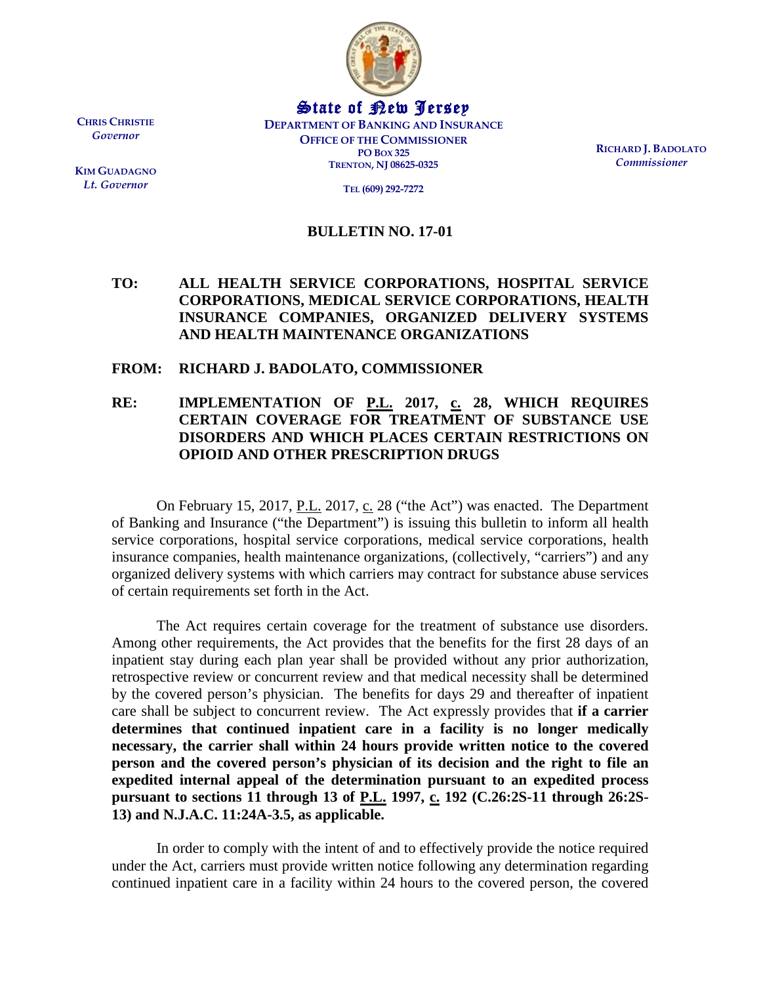

State of New Jersey **DEPARTMENT OF BANKING AND INSURANCE OFFICE OF THE COMMISSIONER PO BOX 325 TRENTON, NJ 08625-0325**

**RICHARD J. BADOLATO** *Commissioner*

**TEL (609) 292-7272**

## **BULLETIN NO. 17-01**

## **TO: ALL HEALTH SERVICE CORPORATIONS, HOSPITAL SERVICE CORPORATIONS, MEDICAL SERVICE CORPORATIONS, HEALTH INSURANCE COMPANIES, ORGANIZED DELIVERY SYSTEMS AND HEALTH MAINTENANCE ORGANIZATIONS**

## **FROM: RICHARD J. BADOLATO, COMMISSIONER**

## **RE: IMPLEMENTATION OF P.L. 2017, c. 28, WHICH REQUIRES CERTAIN COVERAGE FOR TREATMENT OF SUBSTANCE USE DISORDERS AND WHICH PLACES CERTAIN RESTRICTIONS ON OPIOID AND OTHER PRESCRIPTION DRUGS**

On February 15, 2017,  $P.L. 2017, C. 28$  ("the Act") was enacted. The Department of Banking and Insurance ("the Department") is issuing this bulletin to inform all health service corporations, hospital service corporations, medical service corporations, health insurance companies, health maintenance organizations, (collectively, "carriers") and any organized delivery systems with which carriers may contract for substance abuse services of certain requirements set forth in the Act.

The Act requires certain coverage for the treatment of substance use disorders. Among other requirements, the Act provides that the benefits for the first 28 days of an inpatient stay during each plan year shall be provided without any prior authorization, retrospective review or concurrent review and that medical necessity shall be determined by the covered person's physician. The benefits for days 29 and thereafter of inpatient care shall be subject to concurrent review. The Act expressly provides that **if a carrier determines that continued inpatient care in a facility is no longer medically necessary, the carrier shall within 24 hours provide written notice to the covered person and the covered person's physician of its decision and the right to file an expedited internal appeal of the determination pursuant to an expedited process pursuant to sections 11 through 13 of P.L. 1997, c. 192 (C.26:2S-11 through 26:2S-13) and N.J.A.C. 11:24A-3.5, as applicable.**

In order to comply with the intent of and to effectively provide the notice required under the Act, carriers must provide written notice following any determination regarding continued inpatient care in a facility within 24 hours to the covered person, the covered

**CHRIS CHRISTIE** *Governor*

**KIM GUADAGNO** *Lt. Governor*